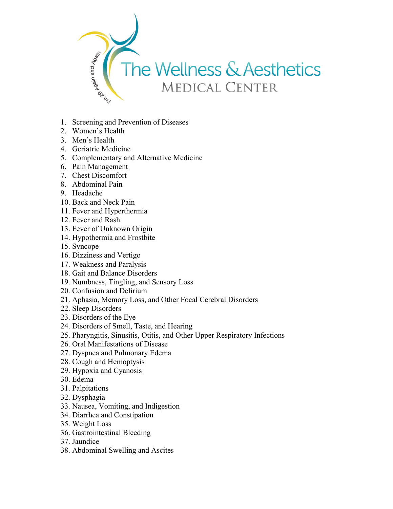

- 1. Screening and Prevention of Diseases
- 2. Women's Health
- 3. Men's Health
- 4. Geriatric Medicine
- 5. Complementary and Alternative Medicine
- 6. Pain Management
- 7. Chest Discomfort
- 8. Abdominal Pain
- 9. Headache
- 10. Back and Neck Pain
- 11. Fever and Hyperthermia
- 12. Fever and Rash
- 13. Fever of Unknown Origin
- 14. Hypothermia and Frostbite
- 15. Syncope
- 16. Dizziness and Vertigo
- 17. Weakness and Paralysis
- 18. Gait and Balance Disorders
- 19. Numbness, Tingling, and Sensory Loss
- 20. Confusion and Delirium
- 21. Aphasia, Memory Loss, and Other Focal Cerebral Disorders
- 22. Sleep Disorders
- 23. Disorders of the Eye
- 24. Disorders of Smell, Taste, and Hearing
- 25. Pharyngitis, Sinusitis, Otitis, and Other Upper Respiratory Infections
- 26. Oral Manifestations of Disease
- 27. Dyspnea and Pulmonary Edema
- 28. Cough and Hemoptysis
- 29. Hypoxia and Cyanosis
- 30. Edema
- 31. Palpitations
- 32. Dysphagia
- 33. Nausea, Vomiting, and Indigestion
- 34. Diarrhea and Constipation
- 35. Weight Loss
- 36. Gastrointestinal Bleeding
- 37. Jaundice
- 38. Abdominal Swelling and Ascites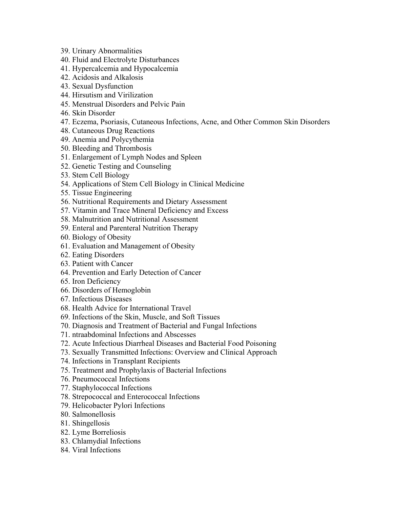- 39. Urinary Abnormalities
- 40. Fluid and Electrolyte Disturbances
- 41. Hypercalcemia and Hypocalcemia
- 42. Acidosis and Alkalosis
- 43. Sexual Dysfunction
- 44. Hirsutism and Virilization
- 45. Menstrual Disorders and Pelvic Pain
- 46. Skin Disorder
- 47. Eczema, Psoriasis, Cutaneous Infections, Acne, and Other Common Skin Disorders
- 48. Cutaneous Drug Reactions
- 49. Anemia and Polycythemia
- 50. Bleeding and Thrombosis
- 51. Enlargement of Lymph Nodes and Spleen
- 52. Genetic Testing and Counseling
- 53. Stem Cell Biology
- 54. Applications of Stem Cell Biology in Clinical Medicine
- 55. Tissue Engineering
- 56. Nutritional Requirements and Dietary Assessment
- 57. Vitamin and Trace Mineral Deficiency and Excess
- 58. Malnutrition and Nutritional Assessment
- 59. Enteral and Parenteral Nutrition Therapy
- 60. Biology of Obesity
- 61. Evaluation and Management of Obesity
- 62. Eating Disorders
- 63. Patient with Cancer
- 64. Prevention and Early Detection of Cancer
- 65. Iron Deficiency
- 66. Disorders of Hemoglobin
- 67. Infectious Diseases
- 68. Health Advice for International Travel
- 69. Infections of the Skin, Muscle, and Soft Tissues
- 70. Diagnosis and Treatment of Bacterial and Fungal Infections
- 71. ntraabdominal Infections and Abscesses
- 72. Acute Infectious Diarrheal Diseases and Bacterial Food Poisoning
- 73. Sexually Transmitted Infections: Overview and Clinical Approach
- 74. Infections in Transplant Recipients
- 75. Treatment and Prophylaxis of Bacterial Infections
- 76. Pneumococcal Infections
- 77. Staphylococcal Infections
- 78. Strepococcal and Enterococcal Infections
- 79. Helicobacter Pylori Infections
- 80. Salmonellosis
- 81. Shingellosis
- 82. Lyme Borreliosis
- 83. Chlamydial Infections
- 84. Viral Infections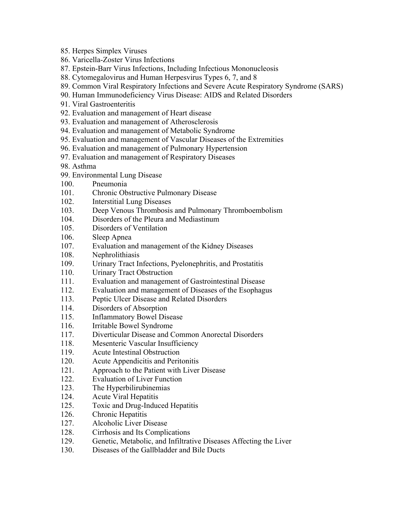- 85. Herpes Simplex Viruses
- 86. Varicella-Zoster Virus Infections
- 87. Epstein-Barr Virus Infections, Including Infectious Mononucleosis
- 88. Cytomegalovirus and Human Herpesvirus Types 6, 7, and 8
- 89. Common Viral Respiratory Infections and Severe Acute Respiratory Syndrome (SARS)
- 90. Human Immunodeficiency Virus Disease: AIDS and Related Disorders
- 91. Viral Gastroenteritis
- 92. Evaluation and management of Heart disease
- 93. Evaluation and management of Atherosclerosis
- 94. Evaluation and management of Metabolic Syndrome
- 95. Evaluation and management of Vascular Diseases of the Extremities
- 96. Evaluation and management of Pulmonary Hypertension
- 97. Evaluation and management of Respiratory Diseases
- 98. Asthma
- 99. Environmental Lung Disease
- 100. Pneumonia
- 101. Chronic Obstructive Pulmonary Disease
- 102. Interstitial Lung Diseases
- 103. Deep Venous Thrombosis and Pulmonary Thromboembolism
- 104. Disorders of the Pleura and Mediastinum
- 105. Disorders of Ventilation
- 106. Sleep Apnea
- 107. Evaluation and management of the Kidney Diseases
- 108. Nephrolithiasis
- 109. Urinary Tract Infections, Pyelonephritis, and Prostatitis
- 110. Urinary Tract Obstruction
- 111. Evaluation and management of Gastrointestinal Disease
- 112. Evaluation and management of Diseases of the Esophagus
- 113. Peptic Ulcer Disease and Related Disorders
- 114. Disorders of Absorption
- 115. Inflammatory Bowel Disease
- 116. Irritable Bowel Syndrome
- 117. Diverticular Disease and Common Anorectal Disorders
- 118. Mesenteric Vascular Insufficiency
- 119. Acute Intestinal Obstruction
- 120. Acute Appendicitis and Peritonitis
- 121. Approach to the Patient with Liver Disease
- 122. Evaluation of Liver Function
- 123. The Hyperbilirubinemias
- 124. Acute Viral Hepatitis
- 125. Toxic and Drug-Induced Hepatitis
- 126. Chronic Hepatitis
- 127. Alcoholic Liver Disease
- 128. Cirrhosis and Its Complications
- 129. Genetic, Metabolic, and Infiltrative Diseases Affecting the Liver
- 130. Diseases of the Gallbladder and Bile Ducts